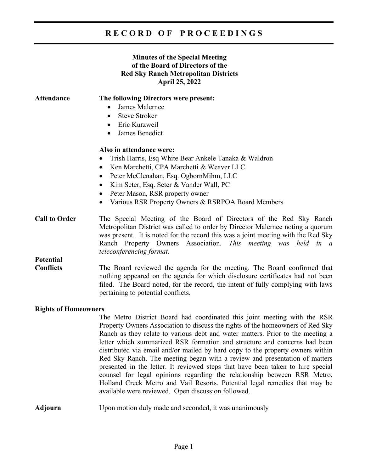## **R E C O R D O F P R O C E E D I N G S**

## **Minutes of the Special Meeting of the Board of Directors of the Red Sky Ranch Metropolitan Districts April 25, 2022**

| Attendance                           | The following Directors were present:<br>James Malernee<br><b>Steve Stroker</b><br>$\bullet$<br>Eric Kurzweil<br>James Benedict                                                                                                                                                                                                                                              |
|--------------------------------------|------------------------------------------------------------------------------------------------------------------------------------------------------------------------------------------------------------------------------------------------------------------------------------------------------------------------------------------------------------------------------|
|                                      | $\bullet$<br>Also in attendance were:<br>Trish Harris, Esq White Bear Ankele Tanaka & Waldron<br>Ken Marchetti, CPA Marchetti & Weaver LLC<br>$\bullet$<br>Peter McClenahan, Esq. OgbornMihm, LLC<br>$\bullet$<br>Kim Seter, Esq. Seter & Vander Wall, PC<br>$\bullet$<br>Peter Mason, RSR property owner<br>$\bullet$<br>Various RSR Property Owners & RSRPOA Board Members |
| <b>Call to Order</b>                 | The Special Meeting of the Board of Directors of the Red Sky Ranch<br>Metropolitan District was called to order by Director Malernee noting a quorum<br>was present. It is noted for the record this was a joint meeting with the Red Sky<br>Ranch Property Owners Association. This meeting was held in a<br>teleconferencing format.                                       |
| <b>Potential</b><br><b>Conflicts</b> | The Board reviewed the agenda for the meeting. The Board confirmed that<br>nothing appeared on the agenda for which disclosure certificates had not been<br>filed. The Board noted, for the record, the intent of fully complying with laws<br>pertaining to potential conflicts.                                                                                            |
| <b>Rights of Homeowners</b>          | The Metro District Board had coordinated this joint meeting with the RSR<br>Property Owners Association to discuss the rights of the homeowners of Red Sky<br>Ranch as they relate to various debt and water matters. Prior to the meeting a<br>$\mathbf{1}$ $\mathbf{0}$                                                                                                    |

Property Owners Association to discuss the rights of the homeowners of Red Sky Ranch as they relate to various debt and water matters. Prior to the meeting a letter which summarized RSR formation and structure and concerns had been distributed via email and/or mailed by hard copy to the property owners within Red Sky Ranch. The meeting began with a review and presentation of matters presented in the letter. It reviewed steps that have been taken to hire special counsel for legal opinions regarding the relationship between RSR Metro, Holland Creek Metro and Vail Resorts. Potential legal remedies that may be available were reviewed. Open discussion followed.

**Adjourn** Upon motion duly made and seconded, it was unanimously